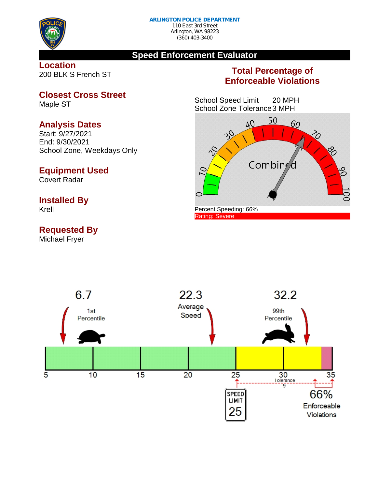

Maple ST

## **Speed Enforcement Evaluator**

**Location** 200 BLK S French ST

**Analysis Dates** Start: 9/27/2021 End: 9/30/2021

**Equipment Used**

Covert Radar

**Installed By**

**Requested By**

Krell

**Closest Cross Street**

School Zone, Weekdays Only

## **Total Percentage of Enforceable Violations**

School Speed Limit 20 MPH School Zone Tolerance3 MPH



Michael Fryer22.3 6.7 Average  $1st$ Speed Percentile